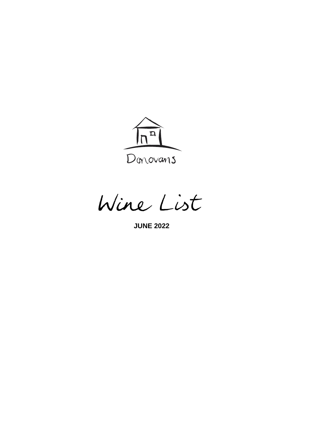

Wine List

**JUNE 2022**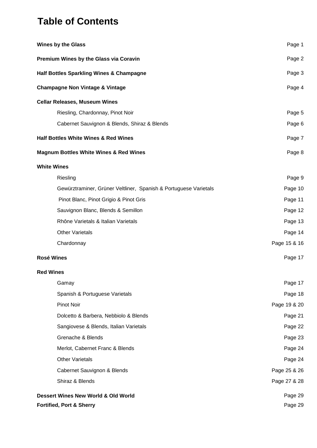# **Table of Contents**

| <b>Wines by the Glass</b>                                        | Page 1       |
|------------------------------------------------------------------|--------------|
| Premium Wines by the Glass via Coravin                           | Page 2       |
| <b>Half Bottles Sparkling Wines &amp; Champagne</b>              | Page 3       |
| <b>Champagne Non Vintage &amp; Vintage</b>                       | Page 4       |
| <b>Cellar Releases, Museum Wines</b>                             |              |
| Riesling, Chardonnay, Pinot Noir                                 | Page 5       |
| Cabernet Sauvignon & Blends, Shiraz & Blends                     | Page 6       |
| <b>Half Bottles White Wines &amp; Red Wines</b>                  | Page 7       |
| <b>Magnum Bottles White Wines &amp; Red Wines</b>                | Page 8       |
| <b>White Wines</b>                                               |              |
| Riesling                                                         | Page 9       |
| Gewürztraminer, Grüner Veltliner, Spanish & Portuguese Varietals | Page 10      |
| Pinot Blanc, Pinot Grigio & Pinot Gris                           | Page 11      |
| Sauvignon Blanc, Blends & Semillon                               | Page 12      |
| Rhône Varietals & Italian Varietals                              | Page 13      |
| <b>Other Varietals</b>                                           | Page 14      |
| Chardonnay                                                       | Page 15 & 16 |
| <b>Rosé Wines</b>                                                | Page 17      |
| <b>Red Wines</b>                                                 |              |
| Gamay                                                            | Page 17      |
| Spanish & Portuguese Varietals                                   | Page 18      |
| <b>Pinot Noir</b>                                                | Page 19 & 20 |
| Dolcetto & Barbera, Nebbiolo & Blends                            | Page 21      |
| Sangiovese & Blends, Italian Varietals                           | Page 22      |
| Grenache & Blends                                                | Page 23      |
| Merlot, Cabernet Franc & Blends                                  | Page 24      |
| <b>Other Varietals</b>                                           | Page 24      |
| Cabernet Sauvignon & Blends                                      | Page 25 & 26 |
| Shiraz & Blends                                                  | Page 27 & 28 |
| Dessert Wines New World & Old World                              | Page 29      |
| <b>Fortified, Port &amp; Sherry</b>                              | Page 29      |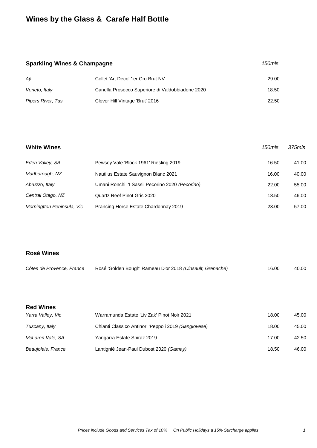# **Wines by the Glass & Carafe Half Bottle**

# **Sparkling Wines & Champagne** *150mls 150mls* Aÿ Collet 'Art Deco' 1er Cru Brut NV 39.00 *Veneto, Italy* Canella Prosecco Superiore di Valdobbiadene 2020 18.50 *Pipers River, Tas* Clover Hill Vintage 'Brut' 2016 22.50

| <b>White Wines</b>         |                                                 | 150mls | 375mls |
|----------------------------|-------------------------------------------------|--------|--------|
| Eden Valley, SA            | Pewsey Vale 'Block 1961' Riesling 2019          | 16.50  | 41.00  |
| Marlborough, NZ            | Nautilus Estate Sauvignon Blanc 2021            | 16.00  | 40.00  |
| Abruzzo, Italy             | Umani Ronchi 'l Sassi' Pecorino 2020 (Pecorino) | 22.00  | 55.00  |
| Central Otago, NZ          | Quartz Reef Pinot Gris 2020                     | 18.50  | 46.00  |
| Morningtton Peninsula, Vic | Prancing Horse Estate Chardonnay 2019           | 23.00  | 57.00  |

#### **Rosé Wines**

| Côtes de Provence, France | Rosé 'Golden Bough' Rameau D'or 2018 (Cinsault, Grenache) | 16.00 | 40.00 |
|---------------------------|-----------------------------------------------------------|-------|-------|
|                           |                                                           |       |       |

| <b>Red Wines</b>                                            |  |
|-------------------------------------------------------------|--|
| $M_{\rm{2}}$ and $M_{\rm{2}}$ $M_{\rm{2}}$ and $M_{\rm{2}}$ |  |

| Yarra Valley, Vic  | Warramunda Estate 'Liv Zak' Pinot Noir 2021          | 18.00 | 45.00 |
|--------------------|------------------------------------------------------|-------|-------|
| Tuscany, Italy     | Chianti Classico Antinori 'Peppoli 2019 (Sangiovese) | 18.00 | 45.00 |
| McLaren Vale, SA   | Yangarra Estate Shiraz 2019                          | 17.00 | 42.50 |
| Beaujolais, France | Lantignié Jean-Paul Dubost 2020 (Gamay)              | 18.50 | 46.00 |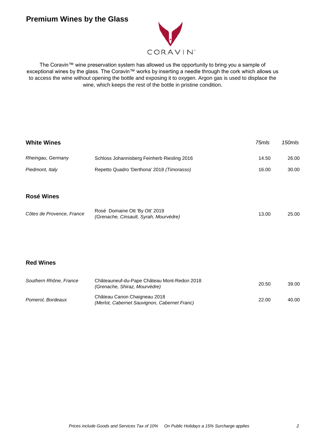# **Premium Wines by the Glass**



The Coravin™ wine preservation system has allowed us the opportunity to bring you a sample of exceptional wines by the glass. The Coravin™ works by inserting a needle through the cork which allows us to access the wine without opening the bottle and exposing it to oxygen. Argon gas is used to displace the wine, which keeps the rest of the bottle in pristine condition.

| <b>White Wines</b>        |                                                                              | 75mls | 150mls |
|---------------------------|------------------------------------------------------------------------------|-------|--------|
| Rheingau, Germany         | Schloss Johannisberg Feinherb Riesling 2016                                  | 14.50 | 26.00  |
| Piedmont, Italy           | Repetto Quadro 'Derthona' 2018 (Timorasso)                                   | 16.00 | 30.00  |
|                           |                                                                              |       |        |
| <b>Rosé Wines</b>         |                                                                              |       |        |
| Côtes de Provence, France | Rosé Domaine Ott 'By Ott' 2019<br>(Grenache, Cinsault, Syrah, Mourvèdre)     | 13.00 | 25.00  |
|                           |                                                                              |       |        |
|                           |                                                                              |       |        |
| <b>Red Wines</b>          |                                                                              |       |        |
| Southern Rhône, France    | Châteauneuf-du-Pape Château Mont-Redon 2018<br>(Grenache, Shiraz, Mourvèdre) | 20.50 | 39.00  |
| Pomerol, Bordeaux         | Château Canon Chaigneau 2018<br>(Merlot, Cabernet Sauvignon, Cabernet Franc) | 22.00 | 40.00  |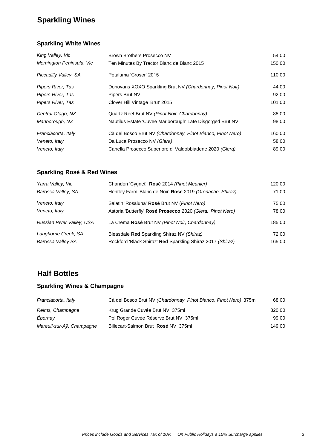# **Sparkling Wines**

### **Sparkling White Wines**

| King Valley, Vic          | Brown Brothers Prosecco NV                                  | 54.00  |
|---------------------------|-------------------------------------------------------------|--------|
| Mornington Peninsula, Vic | Ten Minutes By Tractor Blanc de Blanc 2015                  | 150.00 |
| Piccadilly Valley, SA     | Petaluma 'Croser' 2015                                      | 110.00 |
| Pipers River, Tas         | Donovans XOXO Sparkling Brut NV (Chardonnay, Pinot Noir)    | 44.00  |
| Pipers River, Tas         | Pipers Brut NV                                              | 92.00  |
| Pipers River, Tas         | Clover Hill Vintage 'Brut' 2015                             | 101.00 |
| Central Otago, NZ         | Quartz Reef Brut NV (Pinot Noir, Chardonnay)                | 88.00  |
| Marlborough, NZ           | Nautilus Estate 'Cuvee Marlborough' Late Disgorged Brut NV  | 98.00  |
| Franciacorta, Italy       | Cà del Bosco Brut NV (Chardonnay, Pinot Bianco, Pinot Nero) | 160.00 |
| Veneto, Italy             | Da Luca Prosecco NV (Glera)                                 | 58.00  |
| Veneto, Italy             | Canella Prosecco Superiore di Valdobbiadene 2020 (Glera)    | 89.00  |

## **Sparkling Rosé & Red Wines**

| Yarra Valley, Vic         | Chandon 'Cygnet' Rosé 2014 (Pinot Meunier)                 | 120.00 |
|---------------------------|------------------------------------------------------------|--------|
| Barossa Valley, SA        | Hentley Farm 'Blanc de Noir' Rosé 2019 (Grenache, Shiraz)  | 71.00  |
| Veneto, Italy             | Salatin 'Rosaluna' Rosé Brut NV (Pinot Nero)               | 75.00  |
| Veneto, Italy             | Astoria 'Butterfly' Rosé Prosecco 2020 (Glera, Pinot Nero) | 78.00  |
| Russian River Valley, USA | La Crema Rosé Brut NV (Pinot Noir, Chardonnay)             | 185.00 |
| Langhorne Creek, SA       | Bleasdale Red Sparkling Shiraz NV (Shiraz)                 | 72.00  |
| Barossa Valley SA         | Rockford 'Black Shiraz' Red Sparkling Shiraz 2017 (Shiraz) | 165.00 |

## **Half Bottles**

## **Sparkling Wines & Champagne**

| Franciacorta, Italy       | Cà del Bosco Brut NV (Chardonnay, Pinot Bianco, Pinot Nero) 375ml | 68.00  |
|---------------------------|-------------------------------------------------------------------|--------|
| Reims, Champagne          | Krug Grande Cuvée Brut NV 375ml                                   | 320.00 |
| Epernay                   | Pol Roger Cuvée Réserve Brut NV 375ml                             | 99.00  |
| Mareuil-sur-Aÿ, Champagne | Billecart-Salmon Brut Rosé NV 375ml                               | 149.00 |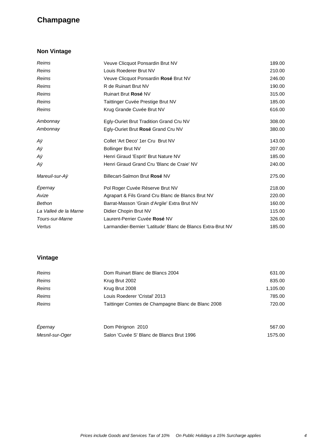# **Champagne**

## **Non Vintage**

| Reims                 | Veuve Clicquot Ponsardin Brut NV                            | 189.00 |
|-----------------------|-------------------------------------------------------------|--------|
| Reims                 | Louis Roederer Brut NV                                      | 210.00 |
| Reims                 | Veuve Clicquot Ponsardin Rosé Brut NV                       | 246.00 |
| Reims                 | R de Ruinart Brut NV                                        | 190.00 |
| Reims                 | Ruinart Brut Rosé NV                                        | 315.00 |
| Reims                 | Taittinger Cuvée Prestige Brut NV                           | 185.00 |
| Reims                 | Krug Grande Cuvée Brut NV                                   | 616.00 |
| Ambonnay              | Egly-Ouriet Brut Tradition Grand Cru NV                     | 308.00 |
| Ambonnay              | Egly-Ouriet Brut Rosé Grand Cru NV                          | 380.00 |
| Аÿ                    | Collet 'Art Deco' 1er Cru Brut NV                           | 143.00 |
| Аÿ                    | <b>Bollinger Brut NV</b>                                    | 207.00 |
| Аÿ                    | Henri Giraud 'Esprit' Brut Nature NV                        | 185.00 |
| Аÿ                    | Henri Giraud Grand Cru 'Blanc de Craie' NV                  | 240.00 |
| Mareuil-sur-Aÿ        | Billecart-Salmon Brut Rosé NV                               | 275.00 |
| Épernay               | Pol Roger Cuvée Réserve Brut NV                             | 218.00 |
| Avize                 | Agrapart & Fils Grand Cru Blanc de Blancs Brut NV           | 220.00 |
| <b>Bethon</b>         | Barrat-Masson 'Grain d'Argile' Extra Brut NV                | 160.00 |
| La Valleé de la Marne | Didier Chopin Brut NV                                       | 115.00 |
| Tours-sur-Marne       | Laurent-Perrier Cuvée Rosé NV                               | 326.00 |
| Vertus                | Larmandier-Bernier 'Latitude' Blanc de Blancs Extra-Brut NV | 185.00 |

## **Vintage**

| Reims           | Dom Ruinart Blanc de Blancs 2004                   | 631.00   |
|-----------------|----------------------------------------------------|----------|
| Reims           | Krug Brut 2002                                     | 835.00   |
| <b>Reims</b>    | Krug Brut 2008                                     | 1,105.00 |
| Reims           | Louis Roederer 'Cristal' 2013                      | 785.00   |
| Reims           | Taittinger Comtes de Champagne Blanc de Blanc 2008 | 720.00   |
| Épernay         | Dom Pérignon 2010                                  | 567.00   |
| Mesnil-sur-Oger | Salon 'Cuvée S' Blanc de Blancs Brut 1996          | 1575.00  |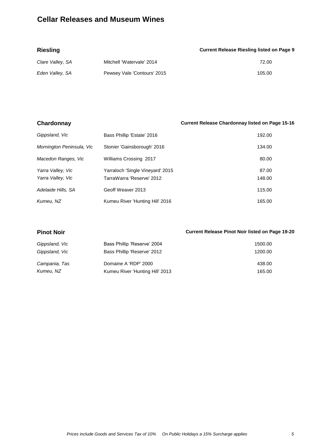# **Cellar Releases and Museum Wines**

| <b>Riesling</b>  |                             | <b>Current Release Riesling listed on Page 9</b> |
|------------------|-----------------------------|--------------------------------------------------|
| Clare Valley, SA | Mitchell 'Watervale' 2014   | 72.00                                            |
| Eden Valley, SA  | Pewsey Vale 'Contours' 2015 | 105.00                                           |

| Chardonnay                             |                                                               | <b>Current Release Chardonnay listed on Page 15-16</b> |
|----------------------------------------|---------------------------------------------------------------|--------------------------------------------------------|
| Gippsland, Vic                         | Bass Phillip 'Estate' 2016                                    | 192.00                                                 |
| Mornington Peninsula, Vic              | Stonier 'Gainsborough' 2016                                   | 134.00                                                 |
| Macedon Ranges, Vic                    | Williams Crossing 2017                                        | 80.00                                                  |
| Yarra Valley, Vic<br>Yarra Valley, Vic | Yarraloch 'Single Vineyard' 2015<br>TarraWarra 'Reserve' 2012 | 87.00<br>148.00                                        |
| Adelaide Hills, SA                     | Geoff Weaver 2013                                             | 115.00                                                 |
| Kumeu, NZ                              | Kumeu River 'Hunting Hill' 2016                               | 165.00                                                 |

| <b>Pinot Noir</b> |                                 | <b>Current Release Pinot Noir listed on Page 19-20</b> |
|-------------------|---------------------------------|--------------------------------------------------------|
| Gippsland, Vic    | Bass Phillip 'Reserve' 2004     | 1500.00                                                |
| Gippsland, Vic    | Bass Phillip 'Reserve' 2012     | 1200.00                                                |
| Campania, Tas     | Domaine A 'RDP' 2000            | 438.00                                                 |
| Kumeu, NZ         | Kumeu River 'Hunting Hill' 2013 | 165.00                                                 |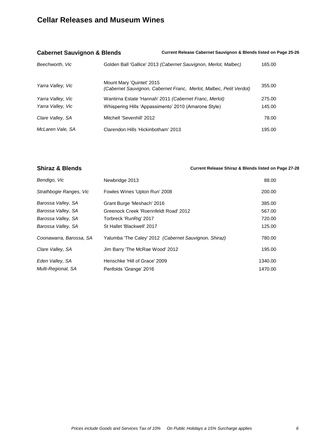## **Cellar Releases and Museum Wines**

| <b>Cabernet Sauvignon &amp; Blends</b> |                                                                                                 | Current Release Cabernet Sauvignon & Blends listed on Page 25-26 |        |
|----------------------------------------|-------------------------------------------------------------------------------------------------|------------------------------------------------------------------|--------|
| Beechworth, Vic                        | Golden Ball 'Gallice' 2013 (Cabernet Sauvignon, Merlot, Malbec)                                 |                                                                  | 165.00 |
| Yarra Valley, Vic                      | Mount Mary 'Quintet' 2015<br>(Cabernet Sauvignon, Cabernet Franc, Merlot, Malbec, Petit Verdot) |                                                                  | 355.00 |
| Yarra Valley, Vic                      | Wantirna Estate 'Hannah' 2011 (Cabernet Franc, Merlot)                                          |                                                                  | 275.00 |
| Yarra Valley, Vic                      | Whispering Hills 'Appassimento' 2010 (Amarone Style)                                            |                                                                  | 145.00 |
| Clare Valley, SA                       | Mitchell 'Sevenhill' 2012                                                                       |                                                                  | 78.00  |
| McLaren Vale, SA                       | Clarendon Hills 'Hickinbotham' 2013                                                             |                                                                  | 195.00 |

#### **Shiraz & Blends Current Release Shiraz & Blends listed on Page 27-28**

| Bendigo, Vic            | Newbridge 2013                                        | 88.00   |
|-------------------------|-------------------------------------------------------|---------|
| Strathbogie Ranges, Vic | Fowles Wines 'Upton Run' 2008                         | 200.00  |
| Barossa Valley, SA      | Grant Burge 'Meshach' 2016                            | 385.00  |
| Barossa Valley, SA      | Greenock Creek 'Roennfeldt Road' 2012                 | 567.00  |
| Barossa Valley, SA      | Torbreck 'RunRig' 2017                                | 720.00  |
| Barossa Valley, SA      | St Hallet 'Blackwell' 2017                            | 125.00  |
| Coonawarra, Barossa, SA | Yalumba 'The Caley' 2012 (Cabernet Sauvignon, Shiraz) | 780.00  |
| Clare Valley, SA        | Jim Barry 'The McRae Wood' 2012                       | 195.00  |
| Eden Valley, SA         | Henschke 'Hill of Grace' 2009                         | 1340.00 |
| Multi-Regional, SA      | Penfolds 'Grange' 2016                                | 1470.00 |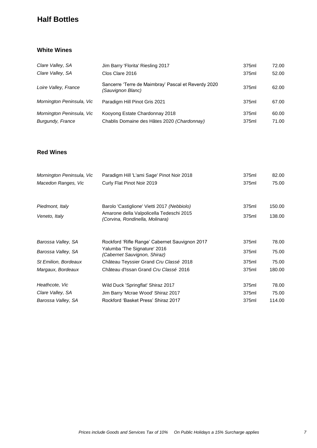# **Half Bottles**

### **White Wines**

| Clare Valley, SA                              | Jim Barry 'Florita' Riesling 2017                                             | 375ml          | 72.00          |
|-----------------------------------------------|-------------------------------------------------------------------------------|----------------|----------------|
| Clare Valley, SA                              | Clos Clare 2016                                                               | 375ml          | 52.00          |
| Loire Valley, France                          | Sancerre 'Terre de Maimbray' Pascal et Reverdy 2020<br>(Sauvignon Blanc)      | 375ml          | 62.00          |
| Mornington Peninsula, Vic                     | Paradigm Hill Pinot Gris 2021                                                 | 375ml          | 67.00          |
| Mornington Peninsula, Vic<br>Burgundy, France | Kooyong Estate Chardonnay 2018<br>Chablis Domaine des Hâtes 2020 (Chardonnay) | 375ml<br>375ml | 60.00<br>71.00 |

### **Red Wines**

| Mornington Peninsula, Vic | Paradigm Hill 'L'ami Sage' Pinot Noir 2018                                  | 375ml | 82.00  |
|---------------------------|-----------------------------------------------------------------------------|-------|--------|
| Macedon Ranges, Vic       | Curly Flat Pinot Noir 2019                                                  | 375ml | 75.00  |
| Piedmont, Italy           | Barolo 'Castiglione' Vietti 2017 (Nebbiolo)                                 | 375ml | 150.00 |
| Veneto, Italy             | Amarone della Valpolicella Tedeschi 2015<br>(Corvina, Rondinella, Molinara) | 375ml | 138.00 |
| Barossa Valley, SA        | Rockford 'Rifle Range' Cabernet Sauvignon 2017                              | 375ml | 78.00  |
| Barossa Valley, SA        | Yalumba 'The Signature' 2016<br>(Cabernet Sauvignon, Shiraz)                | 375ml | 75.00  |
| St Emilion, Bordeaux      | Château Teyssier Grand Cru Classé 2018                                      | 375ml | 75.00  |
| Margaux, Bordeaux         | Château d'Issan Grand Cru Classé 2016                                       | 375ml | 180.00 |
| Heathcote, Vic            | Wild Duck 'Springflat' Shiraz 2017                                          | 375ml | 78.00  |
| Clare Valley, SA          | Jim Barry 'Mcrae Wood' Shiraz 2017                                          | 375ml | 75.00  |
| Barossa Valley, SA        | Rockford 'Basket Press' Shiraz 2017                                         | 375ml | 114.00 |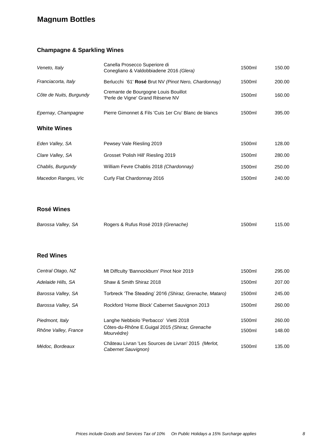# **Magnum Bottles**

## **Champagne & Sparkling Wines**

| Veneto, Italy           | Canella Prosecco Superiore di<br>Conegliano & Valdobbiadene 2016 (Glera)  | 1500ml | 150.00 |
|-------------------------|---------------------------------------------------------------------------|--------|--------|
| Franciacorta, Italy     | Berlucchi '61' Rosé Brut NV (Pinot Nero, Chardonnay)                      | 1500ml | 200.00 |
| Côte de Nuits, Burgundy | Cremante de Bourgogne Louis Bouillot<br>'Perle de Vigne' Grand Rèserve NV | 1500ml | 160.00 |
| Epernay, Champagne      | Pierre Gimonnet & Fils 'Cuis 1er Cru' Blanc de blancs                     | 1500ml | 395.00 |
| <b>White Wines</b>      |                                                                           |        |        |
| Eden Valley, SA         | Pewsey Vale Riesling 2019                                                 | 1500ml | 128.00 |
| Clare Valley, SA        | Grosset 'Polish Hill' Riesling 2019                                       | 1500ml | 280.00 |
| Chablis, Burgundy       | William Fevre Chablis 2018 (Chardonnay)                                   | 1500ml | 250.00 |
| Macedon Ranges, Vic     | Curly Flat Chardonnay 2016                                                | 1500ml | 240.00 |

## **Rosé Wines**

| Barossa Valley, SA | Rogers & Rufus Rosé 2019 (Grenache) | 1500ml | 115.00 |
|--------------------|-------------------------------------|--------|--------|
|                    |                                     |        |        |

## **Red Wines**

| Central Otago, NZ                       | Mt Diffculty 'Bannockburn' Pinot Noir 2019                                                             | 1500ml           | 295.00           |
|-----------------------------------------|--------------------------------------------------------------------------------------------------------|------------------|------------------|
| Adelaide Hills, SA                      | Shaw & Smith Shiraz 2018                                                                               | 1500ml           | 207.00           |
| Barossa Valley, SA                      | Torbreck 'The Steading' 2016 (Shiraz, Grenache, Mataro)                                                | 1500ml           | 245.00           |
| Barossa Valley, SA                      | Rockford 'Home Block' Cabernet Sauvignon 2013                                                          | 1500ml           | 260.00           |
| Piedmont, Italy<br>Rhône Valley, France | Langhe Nebbiolo 'Perbacco' Vietti 2018<br>Côtes-du-Rhône E.Guigal 2015 (Shiraz, Grenache<br>Mourvèdre) | 1500ml<br>1500ml | 260.00<br>148.00 |
| Médoc, Bordeaux                         | Château Livran 'Les Sources de Livran' 2015 (Merlot,<br>Cabernet Sauvignon)                            | 1500ml           | 135.00           |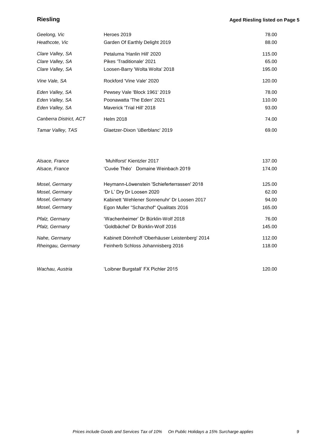## **Riesling** <br> **Aged Riesling listed on Page 5**

| Geelong, Vic           | Heroes 2019                     | 78.00  |
|------------------------|---------------------------------|--------|
| Heathcote, Vic         | Garden Of Earthly Delight 2019  | 88.00  |
| Clare Valley, SA       | Petaluma 'Hanlin Hill' 2020     | 115.00 |
| Clare Valley, SA       | Pikes 'Traditionale' 2021       | 65.00  |
| Clare Valley, SA       | Loosen-Barry 'Wolta Wolta' 2018 | 195.00 |
| Vine Vale, SA          | Rockford 'Vine Vale' 2020       | 120.00 |
| Eden Valley, SA        | Pewsey Vale 'Block 1961' 2019   | 78.00  |
| Eden Valley, SA        | Poonawatta 'The Eden' 2021      | 110.00 |
| Eden Valley, SA        | Maverick 'Trial Hill' 2018      | 93.00  |
| Canberra District, ACT | <b>Helm 2018</b>                | 74.00  |
| Tamar Valley, TAS      | Glaetzer-Dixon 'üBerblanc' 2019 | 69.00  |

| Alsace, France    | 'Muhlforst' Kientzler 2017                      | 137.00 |
|-------------------|-------------------------------------------------|--------|
| Alsace, France    | 'Cuvée Théo' Domaine Weinbach 2019              | 174.00 |
| Mosel, Germany    | Heymann-Löwenstein 'Schieferterrassen' 2018     | 125.00 |
| Mosel, Germany    | 'Dr L' Dry Dr Loosen 2020                       | 62.00  |
| Mosel, Germany    | Kabinett 'Wehlener Sonnenuhr' Dr Loosen 2017    | 94.00  |
| Mosel, Germany    | Egon Muller "Scharzhof" Qualitats 2016          | 165.00 |
| Pfalz, Germany    | 'Wachenheimer' Dr Bürklin-Wolf 2018             | 76.00  |
| Pfalz, Germany    | 'Goldbächel' Dr Bürklin-Wolf 2016               | 145.00 |
| Nahe, Germany     | Kabinett Dönnhoff 'Oberhäuser Leistenberg' 2014 | 112.00 |
| Rheingau, Germany | Feinherb Schloss Johannisberg 2016              | 118.00 |
|                   |                                                 |        |

| Wachau, Austria<br>'Loibner Burgstall' FX Pichler 2015 | 120.00 |
|--------------------------------------------------------|--------|
|--------------------------------------------------------|--------|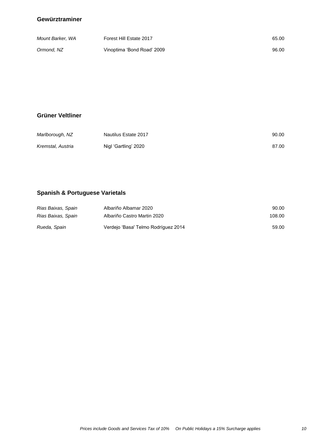#### **Gewürztraminer**

| Mount Barker, WA | Forest Hill Estate 2017    | 65.00 |
|------------------|----------------------------|-------|
| Ormond, NZ       | Vinoptima 'Bond Road' 2009 | 96.00 |

#### **Grüner Veltliner**

| Marlborough, NZ   | Nautilus Estate 2017 | 90.00 |
|-------------------|----------------------|-------|
| Kremstal, Austria | Nigl 'Gartling' 2020 | 87.00 |

## **Spanish & Portuguese Varietals**

| Rias Baixas, Spain | Albariño Albamar 2020               | 90.00  |
|--------------------|-------------------------------------|--------|
| Rias Baixas, Spain | Albariño Castro Martin 2020         | 108.00 |
| Rueda, Spain       | Verdejo 'Basa' Telmo Rodríguez 2014 | 59.00  |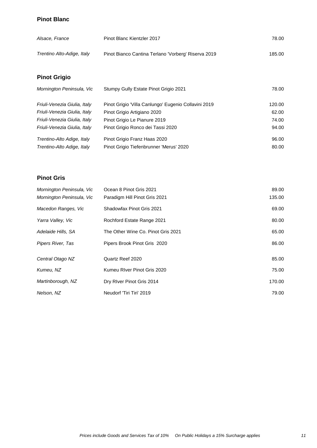### **Pinot Blanc**

| Alsace, France             | Pinot Blanc Kientzler 2017                          | 78.00  |
|----------------------------|-----------------------------------------------------|--------|
| Trentino Alto-Adige, Italy | Pinot Bianco Cantina Terlano 'Vorberg' Riserva 2019 | 185.00 |

# **Pinot Grigio**

| Mornington Peninsula, Vic    | Stumpy Gully Estate Pinot Grigio 2021                | 78.00  |
|------------------------------|------------------------------------------------------|--------|
| Friuli-Venezia Giulia, Italy | Pinot Grigio "Villa Canlungo" Eugenio Collavini 2019 | 120.00 |
| Friuli-Venezia Giulia, Italy | Pinot Grigio Artigiano 2020                          | 62.00  |
| Friuli-Venezia Giulia, Italy | Pinot Grigio Le Pianure 2019                         | 74.00  |
| Friuli-Venezia Giulia, Italy | Pinot Grigio Ronco dei Tassi 2020                    | 94.00  |
| Trentino-Alto Adige, Italy   | Pinot Grigio Franz Haas 2020                         | 96.00  |
| Trentino-Alto Adige, Italy   | Pinot Grigio Tiefenbrunner 'Merus' 2020              | 80.00  |

## **Pinot Gris**

| Mornington Peninsula, Vic<br>Mornington Peninsula, Vic | Ocean 8 Pinot Gris 2021<br>Paradigm Hill Pinot Gris 2021 | 89.00<br>135.00 |
|--------------------------------------------------------|----------------------------------------------------------|-----------------|
| Macedon Ranges, Vic                                    | Shadowfax Pinot Gris 2021                                | 69.00           |
| Yarra Valley, Vic                                      | Rochford Estate Range 2021                               | 80.00           |
| Adelaide Hills, SA                                     | The Other Wine Co. Pinot Gris 2021                       | 65.00           |
| Pipers River, Tas                                      | Pipers Brook Pinot Gris 2020                             | 86.00           |
| Central Otago NZ                                       | Quartz Reef 2020                                         | 85.00           |
| Kumeu, NZ                                              | Kumeu RIver Pinot Gris 2020                              | 75.00           |
| Martinborough, NZ                                      | Dry River Pinot Gris 2014                                | 170.00          |
| Nelson, NZ                                             | Neudorf 'Tiri Tiri' 2019                                 | 79.00           |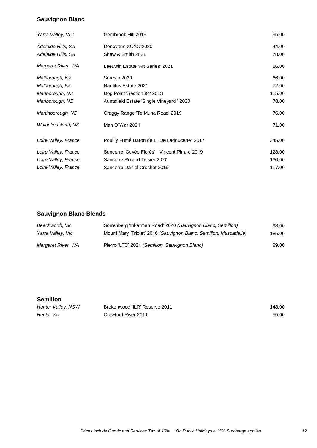## **Sauvignon Blanc**

| Yarra Valley, VIC    | Gembrook Hill 2019                           | 95.00  |
|----------------------|----------------------------------------------|--------|
| Adelaide Hills, SA   | Donovans XOXO 2020                           | 44.00  |
| Adelaide Hills, SA   | Shaw & Smith 2021                            | 78.00  |
| Margaret River, WA   | Leeuwin Estate 'Art Series' 2021             | 86.00  |
| Malborough, NZ       | Seresin 2020                                 | 66.00  |
| Malborough, NZ       | <b>Nautilus Estate 2021</b>                  | 72.00  |
| Marlborough, NZ      | Dog Point 'Section 94' 2013                  | 115.00 |
| Marlborough, NZ      | Auntsfield Estate 'Single Vineyard ' 2020    | 78.00  |
| Martinborough, NZ    | Craggy Range 'Te Muna Road' 2019             | 76.00  |
| Waiheke Island, NZ   | Man O'War 2021                               | 71.00  |
| Loire Valley, France | Pouilly Fumé Baron de L "De Ladoucette" 2017 | 345.00 |
| Loire Valley, France | Sancerre 'Cuvée Florès' Vincent Pinard 2019  | 128.00 |
| Loire Valley, France | Sancerre Roland Tissier 2020                 | 130.00 |
| Loire Valley, France | Sancerre Daniel Crochet 2019                 | 117.00 |
|                      |                                              |        |

## **Sauvignon Blanc Blends**

| Beechworth, Vic    | Sorrenberg 'Inkerman Road' 2020 (Sauvignon Blanc, Semillon)       | 98.00  |
|--------------------|-------------------------------------------------------------------|--------|
| Yarra Valley, Vic  | Mount Mary 'Triolet' 2016 (Sauvignon Blanc, Semillon, Muscadelle) | 185.00 |
| Margaret River, WA | Pierro 'LTC' 2021 (Semillon, Sauvignon Blanc)                     | 89.00  |

#### **Semillon**

| Hunter Valley, NSW | Brokenwood 'ILR' Reserve 2011 | 148.00 |
|--------------------|-------------------------------|--------|
| Henty, Vic         | Crawford River 2011           | 55.00  |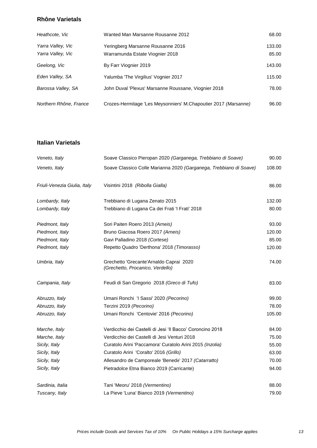#### **Rhône Varietals**

| Heathcote, Vic                         | Wanted Man Marsanne Rousanne 2012                                    | 68.00           |
|----------------------------------------|----------------------------------------------------------------------|-----------------|
| Yarra Valley, Vic<br>Yarra Valley, Vic | Yeringberg Marsanne Rousanne 2016<br>Warramunda Estate Viognier 2018 | 133.00<br>85.00 |
| Geelong, Vic                           | By Farr Viognier 2019                                                | 143.00          |
| Eden Valley, SA                        | Yalumba 'The Virgilius' Vognier 2017                                 | 115.00          |
| Barossa Valley, SA                     | John Duval 'Plexus' Marsanne Roussane, Viognier 2018                 | 78.00           |
| Northern Rhône, France                 | Crozes-Hermitage 'Les Meysonniers' M.Chapoutier 2017 (Marsanne)      | 96.00           |

### **Italian Varietals**

| Veneto, Italy                | Soave Classico Pieropan 2020 (Garganega, Trebbiano di Soave)                | 90.00  |
|------------------------------|-----------------------------------------------------------------------------|--------|
| Veneto, Italy                | Soave Classico Colle Marianna 2020 (Garganega, Trebbiano di Soave)          | 108.00 |
| Friuli-Venezia Giulia, Italy | Visintini 2018 (Ribolla Gialla)                                             | 86.00  |
| Lombardy, Italy              | Trebbiano di Lugana Zenato 2015                                             | 132.00 |
| Lombardy, Italy              | Trebbiano di Lugana Ca dei Frati 'I Frati' 2018                             | 80.00  |
| Piedmont, Italy              | Sori Paiten Roero 2013 (Arneis)                                             | 93.00  |
| Piedmont, Italy              | Bruno Giacosa Roero 2017 (Arneis)                                           | 120.00 |
| Piedmont, Italy              | Gavi Palladino 2018 (Cortese)                                               | 85.00  |
| Piedmont, Italy              | Repetto Quadro 'Derthona' 2018 (Timorasso)                                  | 120.00 |
| Umbria, Italy                | Grechetto 'Grecante'Arnaldo Caprai 2020<br>(Grechetto, Procanico, Verdello) | 74.00  |
| Campania, Italy              | Feudi di San Gregorio 2018 (Greco di Tufo)                                  | 83.00  |
| Abruzzo, Italy               | Umani Ronchi 'l Sassi' 2020 (Pecorino)                                      | 99.00  |
| Abruzzo, Italy               | Terzini 2019 (Pecorino)                                                     | 78.00  |
| Abruzzo, Italy               | Umani Ronchi 'Centovie' 2016 (Pecorino)                                     | 105.00 |
| Marche, Italy                | Verdicchio dei Castelli di Jesi 'Il Bacco' Coroncino 2018                   | 84.00  |
| Marche, Italy                | Verdicchio dei Castelli di Jesi Venturi 2018                                | 75.00  |
| Sicily, Italy                | Curatolo Arini 'Paccamora' Curatolo Arini 2015 (Inzolia)                    | 55.00  |
| Sicily, Italy                | Curatolo Arini 'Coralto' 2016 (Grillo)                                      | 63.00  |
| Sicily, Italy                | Allesandro de Camporeale 'Benedè' 2017 (Catarratto)                         | 70.00  |
| Sicily, Italy                | Pietradolce Etna Bianco 2019 (Carricante)                                   | 94.00  |
| Sardinia, Italia             | Tani 'Meoru' 2018 (Vermentino)                                              | 88.00  |
| Tuscany, Italy               | La Pieve 'Luna' Bianco 2019 (Vermentino)                                    | 79.00  |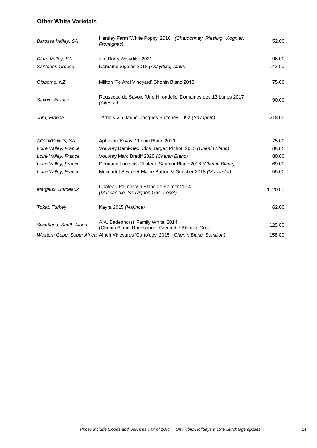### **Other White Varietals**

| Barossa Valley, SA      | Hentley Farm 'White Poppy' 2016 (Chardonnay, Riesling, Viognier,<br>Frontignac)         | 52.00   |
|-------------------------|-----------------------------------------------------------------------------------------|---------|
| Clare Valley, SA        | Jim Barry Assyrtiko 2021                                                                | 96.00   |
| Santorini, Greece       | Domaine Sigalas 2018 (Assyrtiko, Athiri)                                                | 142.00  |
| Gisborne, NZ            | Millton 'Te Arai Vineyard' Chenin Blanc 2016                                            | 75.00   |
| Savoie, France          | Roussette de Savoie 'Une Hirondelle' Domaines des 13 Lunes 2017<br>(Altesse)            | 90.00   |
| Jura, France            | 'Arbois Vin Jaune' Jacques Puffeney 1992 (Savagnin)                                     | 218.00  |
| Adelaide Hills, SA      | Aphelion 'Kryos' Chenin Blanc 2019                                                      | 75.00   |
| Loire Valley, France    | Vouvray Demi-Sec 'Clos Berger' Pichot 2015 (Chenin Blanc)                               | 65.00   |
| Loire Valley, France    | Vouvray Marc Bredif 2020 (Chenin Blanc)                                                 | 80.00   |
| Loire Valley, France    | Domaine Langlois-Chateau Saumur Blanc 2018 (Chenin Blanc)                               | 69.00   |
| Loire Valley, France    | Muscadet Sèvre-et-Maine Barton & Guestier 2018 (Muscadet)                               | 55.00   |
| Margaux, Bordeaux       | Château Palmer Vin Blanc de Palmer 2014<br>(Muscadelle, Sauvignon Gris, Loset)          | 1020.00 |
| Tokat, Turkey           | Kayra 2015 (Narince)                                                                    | 62.00   |
| Swartland, South Africa | A.A. Badenhorst 'Family White' 2014<br>(Chenin Blanc, Roussanne, Grenache Blanc & Gris) | 125.00  |
|                         | Western Cape, South Africa Alheit Vineyards 'Cartology' 2015 (Chenin Blanc, Semillon)   | 158.00  |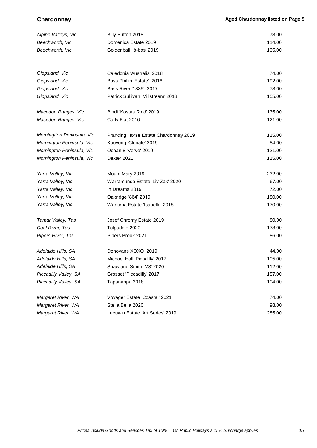| Alpine Valleys, Vic        | Billy Button 2018                     | 78.00  |
|----------------------------|---------------------------------------|--------|
| Beechworth, Vic            | Domenica Estate 2019                  | 114.00 |
| Beechworth, Vic            | Goldenball 'là-bas' 2019              | 135.00 |
|                            |                                       |        |
| Gippsland, Vic             | Caledonia 'Australis' 2018            | 74.00  |
| Gippsland, Vic             | Bass Phillip 'Estate' 2016            | 192.00 |
| Gippsland, Vic             | Bass River '1835' 2017                | 78.00  |
| Gippsland, Vic             | Patrick Sullivan 'Millstream' 2018    | 155.00 |
| Macedon Ranges, Vic        | Bindi 'Kostas Rind' 2019              | 135.00 |
| Macedon Ranges, Vic        | Curly Flat 2016                       | 121.00 |
| Morningtton Peninsula, Vic | Prancing Horse Estate Chardonnay 2019 | 115.00 |
| Mornington Peninsula, Vic  | Kooyong 'Clonale' 2019                | 84.00  |
| Mornington Peninsula, Vic  | Ocean 8 'Verve' 2019                  | 121.00 |
| Mornington Peninsula, Vic  | Dexter 2021                           | 115.00 |
| Yarra Valley, Vic          | Mount Mary 2019                       | 232.00 |
| Yarra Valley, Vic          | Warramunda Estate 'Liv Zak' 2020      | 67.00  |
| Yarra Valley, Vic          | In Dreams 2019                        | 72.00  |
| Yarra Valley, Vic          | Oakridge '864' 2019                   | 180.00 |
| Yarra Valley, Vic          | Wantirna Estate 'Isabella' 2018       | 170.00 |
| Tamar Valley, Tas          | Josef Chromy Estate 2019              | 80.00  |
| Coal River, Tas            | Tolpuddle 2020                        | 178.00 |
| Pipers River, Tas          | Pipers Brook 2021                     | 86.00  |
| Adelaide Hills, SA         | Donovans XOXO 2019                    | 44.00  |
| Adelaide Hills, SA         | Michael Hall 'Picadilly' 2017         | 105.00 |
| Adelaide Hills, SA         | Shaw and Smith 'M3' 2020              | 112.00 |
| Piccadilly Valley, SA      | Grosset 'Piccadilly' 2017             | 157.00 |
| Piccadilly Valley, SA      | Tapanappa 2018                        | 104.00 |
| Margaret River, WA         | Voyager Estate 'Coastal' 2021         | 74.00  |
| Margaret River, WA         | Stella Bella 2020                     | 98.00  |
| Margaret River, WA         | Leeuwin Estate 'Art Series' 2019      | 285.00 |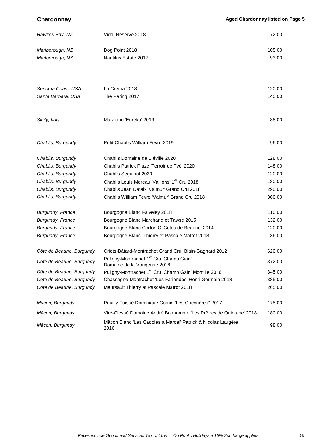**Chardonnay Chardonnay** *Aged Chardonnay listed on Page 5* 

| Hawkes Bay, NZ           | Vidal Reserve 2018                                                                  | 72.00  |
|--------------------------|-------------------------------------------------------------------------------------|--------|
| Marlborough, NZ          | Dog Point 2018                                                                      | 105.00 |
| Marlborough, NZ          | Nautilus Estate 2017                                                                | 93.00  |
| Sonoma Coast, USA        | La Crema 2018                                                                       | 120.00 |
| Santa Barbara, USA       | The Paring 2017                                                                     | 140.00 |
| Sicily, Italy            | Marabino 'Eureka' 2019                                                              | 88.00  |
| Chablis, Burgundy        | Petit Chablis William Fevre 2019                                                    | 96.00  |
| Chablis, Burgundy        | Chablis Domaine de Biéville 2020                                                    | 128.00 |
| Chablis, Burgundy        | Chablis Patrick Piuze 'Terroir de Fyé' 2020                                         | 148.00 |
| Chablis, Burgundy        | Chablis Seguinot 2020                                                               | 120.00 |
| Chablis, Burgundy        | Chablis Louis Moreau 'Vaillons' 1 <sup>er</sup> Cru 2018                            | 180.00 |
| Chablis, Burgundy        | Chablis Jean Defaix 'Valmur' Grand Cru 2018                                         | 290.00 |
| Chablis, Burgundy        | Chablis William Fevre 'Valmur' Grand Cru 2018                                       | 360.00 |
| <b>Burgundy, France</b>  | Bourgogne Blanc Faiveley 2018                                                       | 110.00 |
| Burgundy, France         | Bourgogne Blanc Marchand et Tawse 2015                                              | 132.00 |
| Burgundy, France         | Bourgogne Blanc Corton C 'Cotes de Beaune' 2014                                     | 120.00 |
| Burgundy, France         | Bourgogne Blanc Thierry et Pascale Matrot 2018                                      | 136.00 |
| Côte de Beaune, Burgundy | Criots-Bâtard-Montrachet Grand Cru Blain-Gagnard 2012                               | 620.00 |
| Côte de Beaune, Burgundy | Puligny-Montrachet 1 <sup>er</sup> Cru 'Champ Gain'<br>Domaine de la Vougeraie 2018 | 372.00 |
| Côte de Beaune, Burgundy | Puligny-Montrachet 1 <sup>er</sup> Cru 'Champ Gain' Montille 2016                   | 345.00 |
| Côte de Beaune, Burgundy | Chassagne-Montrachet 'Les Fariendes' Henri Germain 2018                             | 385.00 |
| Côte de Beaune, Burgundy | Meursault Thierry et Pascale Matrot 2018                                            | 265.00 |
| Mâcon, Burgundy          | Pouilly-Fuissé Dominique Cornin 'Les Chevrières" 2017                               | 175.00 |
| Mâcon, Burgundy          | Viré-Clessé Domaine André Bonhomme 'Les Prêtres de Quintane' 2018                   | 180.00 |
| Mâcon, Burgundy          | Mâcon Blanc 'Les Cadoles à Marcel' Patrick & Nicolas Laugère<br>2016                | 98.00  |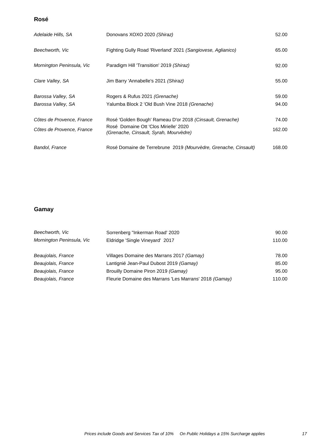#### **Rosé**

| Adelaide Hills, SA                       | Donovans XOXO 2020 (Shiraz)                                                                        | 52.00          |
|------------------------------------------|----------------------------------------------------------------------------------------------------|----------------|
| Beechworth, Vic                          | Fighting Gully Road 'Riverland' 2021 (Sangiovese, Aglianico)                                       | 65.00          |
| Mornington Peninsula, Vic                | Paradigm Hill 'Transition' 2019 (Shiraz)                                                           | 92.00          |
| Clare Valley, SA                         | Jim Barry 'Annabelle's 2021 (Shiraz)                                                               | 55.00          |
| Barossa Valley, SA<br>Barossa Valley, SA | Rogers & Rufus 2021 (Grenache)<br>Yalumba Block 2 'Old Bush Vine 2018 (Grenache)                   | 59.00<br>94.00 |
|                                          |                                                                                                    |                |
| Côtes de Provence, France                | Rosé 'Golden Bough' Rameau D'or 2018 (Cinsault, Grenache)<br>Rosé Domaine Ott 'Clos Mirielle' 2020 | 74.00          |
| Côtes de Provence, France                | (Grenache, Cinsault, Syrah, Mourvèdre)                                                             | 162.00         |
| Bandol, France                           | Rosé Domaine de Terrebrune 2019 (Mourvèdre, Grenache, Cinsault)                                    | 168.00         |

## **Gamay**

| Beechworth, Vic           | Sorrenberg "Inkerman Road" 2020                        | 90.00  |
|---------------------------|--------------------------------------------------------|--------|
| Mornington Peninsula, Vic | Eldridge 'Single Vineyard' 2017                        | 110.00 |
| Beaujolais, France        | Villages Domaine des Marrans 2017 (Gamay)              | 78.00  |
| Beaujolais, France        | Lantignié Jean-Paul Dubost 2019 (Gamay)                | 85.00  |
| Beaujolais, France        | Brouilly Domaine Piron 2019 (Gamay)                    | 95.00  |
| Beaujolais, France        | Fleurie Domaine des Marrans 'Les Marrans' 2018 (Gamay) | 110.00 |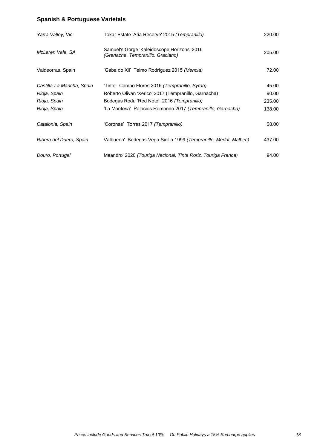# **Spanish & Portuguese Varietals**

| Yarra Valley, Vic         | Tokar Estate 'Aria Reserve' 2015 <i>(Tempranillo)</i>                            | 220.00 |
|---------------------------|----------------------------------------------------------------------------------|--------|
| McLaren Vale, SA          | Samuel's Gorge 'Kaleidoscope Horizons' 2016<br>(Grenache, Tempranillo, Graciano) | 205.00 |
| Valdeorras, Spain         | 'Gaba do Xil' Telmo Rodríguez 2015 <i>(Mencia)</i>                               | 72.00  |
| Castilla-La Mancha, Spain | 'Tinto' Campo Flores 2016 (Tempranillo, Syrah)                                   | 45.00  |
| Rioja, Spain              | Roberto Olivan 'Xerico' 2017 (Tempranillo, Garnacha)                             | 90.00  |
| Rioja, Spain              | Bodegas Roda 'Red Note' 2016 (Tempranillo)                                       | 235.00 |
| Rioja, Spain              | 'La Montesa' Palacios Remondo 2017 (Tempranillo, Garnacha)                       | 138.00 |
| Catalonia, Spain          | 'Coronas' Torres 2017 (Tempranillo)                                              | 58.00  |
| Ribera del Duero, Spain   | Valbuena' Bodegas Vega Sicilia 1999 (Tempranillo, Merlot, Malbec)                | 437.00 |
| Douro, Portugal           | Meandro' 2020 (Touriga Nacional, Tinta Roriz, Touriga Franca)                    | 94.00  |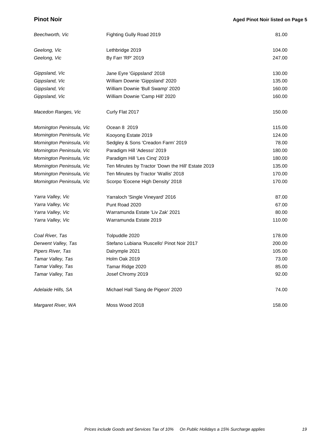### **Pinot Noir**

| Beechworth, Vic           | Fighting Gully Road 2019                           | 81.00  |
|---------------------------|----------------------------------------------------|--------|
| Geelong, Vic              | Lethbridge 2019                                    | 104.00 |
| Geelong, Vic              | By Farr 'RP' 2019                                  | 247.00 |
| Gippsland, Vic            | Jane Eyre 'Gippsland' 2018                         | 130.00 |
| Gippsland, Vic            | William Downie 'Gippsland' 2020                    | 135.00 |
| Gippsland, Vic            | William Downie 'Bull Swamp' 2020                   | 160.00 |
| Gippsland, Vic            | William Downie 'Camp Hill' 2020                    | 160.00 |
| Macedon Ranges, Vic       | Curly Flat 2017                                    | 150.00 |
| Mornington Peninsula, Vic | Ocean 8 2019                                       | 115.00 |
| Mornington Peninsula, Vic | Kooyong Estate 2019                                | 124.00 |
| Mornington Peninsula, Vic | Sedgley & Sons 'Creadon Farm' 2019                 | 78.00  |
| Mornington Peninsula, Vic | Paradigm Hill 'Adesso' 2019                        | 180.00 |
| Mornington Peninsula, Vic | Paradigm Hill 'Les Cinq' 2019                      | 180.00 |
| Mornington Peninsula, Vic | Ten Minutes by Tractor 'Down the Hill' Estate 2019 | 135.00 |
| Mornington Peninsula, Vic | Ten Minutes by Tractor 'Wallis' 2018               | 170.00 |
| Mornington Peninsula, Vic | Scorpo 'Eocene High Density' 2018                  | 170.00 |
| Yarra Valley, Vic         | Yarraloch 'Single Vineyard' 2016                   | 87.00  |
| Yarra Valley, Vic         | Punt Road 2020                                     | 67.00  |
| Yarra Valley, Vic         | Warramunda Estate 'Liv Zak' 2021                   | 80.00  |
| Yarra Valley, Vic         | Warramunda Estate 2019                             | 110.00 |
| Coal River, Tas           | Tolpuddle 2020                                     | 178.00 |
| Derwent Valley, Tas       | Stefano Lubiana 'Ruscello' Pinot Noir 2017         | 200.00 |
| Pipers River, Tas         | Dalrymple 2021                                     | 105.00 |
| Tamar Valley, Tas         | Holm Oak 2019                                      | 73.00  |
| Tamar Valley, Tas         | Tamar Ridge 2020                                   | 85.00  |
| Tamar Valley, Tas         | Josef Chromy 2019                                  | 92.00  |
| Adelaide Hills, SA        | Michael Hall 'Sang de Pigeon' 2020                 | 74.00  |
| Margaret River, WA        | Moss Wood 2018                                     | 158.00 |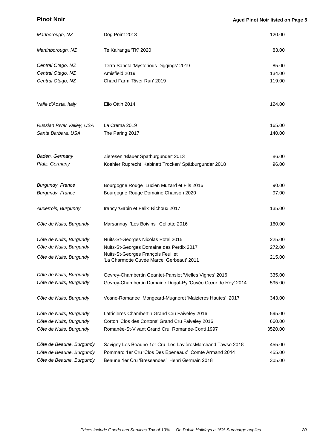| Marlborough, NZ           | Dog Point 2018                                                                  | 120.00  |
|---------------------------|---------------------------------------------------------------------------------|---------|
| Martinborough, NZ         | Te Kairanga 'TK' 2020                                                           | 83.00   |
| Central Otago, NZ         | Terra Sancta 'Mysterious Diggings' 2019                                         | 85.00   |
| Central Otago, NZ         | Amisfield 2019                                                                  | 134.00  |
| Central Otago, NZ         | Chard Farm 'River Run' 2019                                                     | 119.00  |
|                           |                                                                                 |         |
| Valle d'Aosta, Italy      | Elio Ottin 2014                                                                 | 124.00  |
| Russian River Valley, USA | La Crema 2019                                                                   | 165.00  |
| Santa Barbara, USA        | The Paring 2017                                                                 | 140.00  |
| Baden, Germany            | Zieresen 'Blauer Spätburgunder' 2013                                            | 86.00   |
| Pfalz, Germany            | Koehler Ruprecht 'Kabinett Trocken' Spätburgunder 2018                          | 96.00   |
|                           |                                                                                 |         |
| <b>Burgundy, France</b>   | Bourgogne Rouge Lucien Muzard et Fils 2016                                      | 90.00   |
| Burgundy, France          | Bourgogne Rouge Domaine Chanson 2020                                            | 97.00   |
| Auxerrois, Burgundy       | Irancy 'Gabin et Felix' Richoux 2017                                            | 135.00  |
| Côte de Nuits, Burgundy   | Marsannay 'Les Boivins' Collotte 2016                                           | 160.00  |
| Côte de Nuits, Burgundy   | Nuits-St-Georges Nicolas Potel 2015                                             | 225.00  |
| Côte de Nuits, Burgundy   | Nuits-St-Georges Domaine des Perdix 2017                                        | 272.00  |
| Côte de Nuits, Burgundy   | Nuits-St-Georges François Feuillet<br>'La Charmotte Cuvée Marcel Gerbeaut' 2011 | 215.00  |
| Côte de Nuits, Burgundy   | Gevrey-Chambertin Geantet-Pansiot 'Vielles Vignes' 2016                         | 335.00  |
| Côte de Nuits, Burgundy   | Gevrey-Chambertin Domaine Dugat-Py 'Cuvée Cœur de Roy' 2014                     | 595.00  |
| Côte de Nuits, Burgundy   | Vosne-Romanée Mongeard-Mugneret 'Maizieres Hautes' 2017                         | 343.00  |
| Côte de Nuits, Burgundy   | Latricieres Chambertin Grand Cru Faiveley 2016                                  | 595.00  |
| Côte de Nuits, Burgundy   | Corton 'Clos des Cortons' Grand Cru Faiveley 2016                               | 660.00  |
| Côte de Nuits, Burgundy   | Romanée-St-Vivant Grand Cru Romanée-Conti 1997                                  | 3520.00 |
| Côte de Beaune, Burgundy  | Savigny Les Beaune 1er Cru 'Les LavièresMarchand Tawse 2018                     | 455.00  |
| Côte de Beaune, Burgundy  | Pommard 1er Cru 'Clos Des Epeneaux' Comte Armand 2014                           | 455.00  |
| Côte de Beaune, Burgundy  | Beaune 1er Cru 'Bressandes' Henri Germain 2018                                  | 305.00  |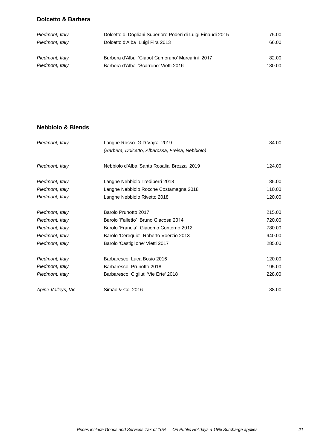#### **Dolcetto & Barbera**

| Piedmont, Italy | Dolcetto di Dogliani Superiore Poderi di Luigi Einaudi 2015 | 75.00  |
|-----------------|-------------------------------------------------------------|--------|
| Piedmont, Italy | Dolcetto d'Alba Luigi Pira 2013                             | 66.00  |
|                 |                                                             |        |
| Piedmont, Italy | Barbera d'Alba 'Ciabot Camerano' Marcarini 2017             | 82.00  |
| Piedmont, Italy | Barbera d'Alba 'Scarrone' Vietti 2016                       | 180.00 |

### **Nebbiolo & Blends**

| Piedmont, Italy    | Langhe Rosso G.D. Vajra 2019                     | 84.00  |
|--------------------|--------------------------------------------------|--------|
|                    | (Barbera, Dolcetto, Albarossa, Freisa, Nebbiolo) |        |
| Piedmont, Italy    | Nebbiolo d'Alba 'Santa Rosalia' Brezza 2019      | 124.00 |
| Piedmont, Italy    | Langhe Nebbiolo Trediberri 2018                  | 85.00  |
| Piedmont, Italy    | Langhe Nebbiolo Rocche Costamagna 2018           | 110.00 |
| Piedmont, Italy    | Langhe Nebbiolo Rivetto 2018                     | 120.00 |
| Piedmont, Italy    | Barolo Prunotto 2017                             | 215.00 |
| Piedmont, Italy    | Barolo 'Falletto' Bruno Giacosa 2014             | 720.00 |
| Piedmont, Italy    | Barolo 'Francia' Giacomo Conterno 2012           | 780.00 |
| Piedmont, Italy    | Barolo 'Cerequio' Roberto Voerzio 2013           | 940.00 |
| Piedmont, Italy    | Barolo 'Castiglione' Vietti 2017                 | 285.00 |
| Piedmont, Italy    | Barbaresco Luca Bosio 2016                       | 120.00 |
| Piedmont, Italy    | Barbaresco Prunotto 2018                         | 195.00 |
| Piedmont, Italy    | Barbaresco Cigliuti 'Vie Erte' 2018              | 228.00 |
| Apine Valleys, Vic | Simão & Co. 2016                                 | 88.00  |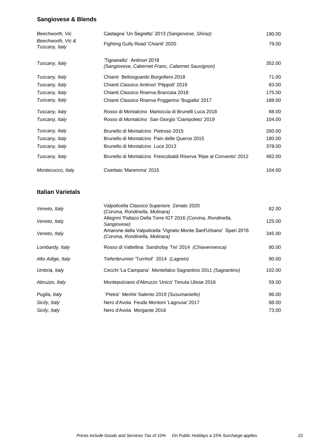## **Sangiovese & Blends**

| Beechworth, Vic                     | Castagna 'Un Segretto' 2013 (Sangiovese, Shiraz)                               | 190.00 |
|-------------------------------------|--------------------------------------------------------------------------------|--------|
| Beechworth, Vic &<br>Tuscany, Italy | Fighting Gully Road 'Chianti' 2020                                             | 79.00  |
| Tuscany, Italy                      | 'Tignanello' Antinori 2018<br>(Sangiovese, Cabernet Franc, Cabernet Sauvignon) | 352.00 |
| Tuscany, Italy                      | Chianti Bellosguardo Borgofiero 2018                                           | 71.00  |
| Tuscany, Italy                      | Chianti Classico Antinori 'Pèppoli' 2019                                       | 83.00  |
| Tuscany, Italy                      | Chianti Classico Riserva Brancaia 2018                                         | 175.00 |
| Tuscany, Italy                      | Chianti Classico Riserva Poggerino 'Bugialla' 2017                             | 188.00 |
| Tuscany, Italy                      | Rosso di Montalcino Martoccia di Brunelli Luca 2018                            | 88.00  |
| Tuscany, Italy                      | Rosso di Montalcino San Giorgio 'Ciampoleto' 2019                              | 104.00 |
| Tuscany, Italy                      | Brunello di Montalcino Pietroso 2015                                           | 260.00 |
| Tuscany, Italy                      | Brunello di Montalcino Pain delle Querce 2015                                  | 180.00 |
| Tuscany, Italy                      | Brunello di Montalcino Luce 2013                                               | 378.00 |
| Tuscany, Italy                      | Brunello di Montalcino Frescobaldi Riserva 'Ripe al Convento' 2012             | 482.00 |
| Montecucco, Italy                   | Civettaio 'Maremma' 2015                                                       | 104.00 |

## **Italian Varietals**

| Veneto, Italy     | Valpolicella Classico Superiore Zenato 2020<br>(Corvina, Rondinella, Molinara)                       | 82.00  |
|-------------------|------------------------------------------------------------------------------------------------------|--------|
| Veneto, Italy     | Allegrini 'Pallazo Della Torre IGT 2016 (Corvina, Rondinella,<br>Sangiovese)                         | 125.00 |
| Veneto, Italy     | Amarone della Valpolicella 'Vigneto Monte Sant'Urbano' Speri 2016<br>(Corvina, Rondinella, Molinara) | 345.00 |
| Lombardy, Italy   | Rosso di Valtellina Sandrofay 'Tei' 2014 (Chiavennesca)                                              | 80.00  |
| Alto Adige, Italy | Tiefenbrunner 'Turnhof' 2014 (Lagrein)                                                               | 90.00  |
| Umbria, Italy     | Cecchi 'La Campana' Montefalco Sagrantino 2011 (Sagrantino)                                          | 102.00 |
| Abruzzo, Italy    | Montepulciano d'Abruzzo 'Unico' Tenuta Ulisse 2016                                                   | 59.00  |
| Puglia, Italy     | 'Pietra' Menhir Salento 2019 (Susumaniello)                                                          | 96.00  |
| Sicily, Italy     | Nero d'Avola Feudo Montoni 'Lagnusa' 2017                                                            | 88.00  |
| Sicily, Italy     | Nero d'Avola Morgante 2016                                                                           | 73.00  |
|                   |                                                                                                      |        |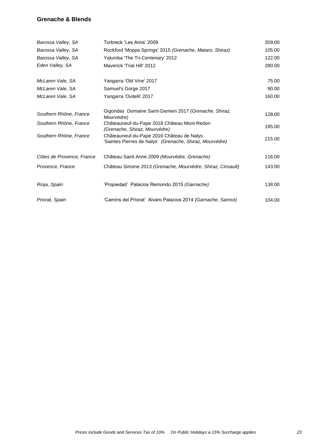#### **Grenache & Blends**

| Barossa Valley, SA        | Torbreck 'Les Amis' 2009                                                                              | 359.00 |
|---------------------------|-------------------------------------------------------------------------------------------------------|--------|
| Barossa Valley, SA        | Rockford 'Moppa Springs' 2015 (Grenache, Mataro, Shiraz)                                              | 105.00 |
| Barossa Valley, SA        | Yalumba 'The Tri-Centenary' 2012                                                                      | 122.00 |
| Eden Valley, SA           | Maverick 'Trial Hill' 2012                                                                            | 280.00 |
| McLaren Vale, SA          | Yangarra 'Old Vine' 2017                                                                              | 75.00  |
| McLaren Vale, SA          | Samuel's Gorge 2017                                                                                   | 90.00  |
| McLaren Vale, SA          | Yangarra 'Ovitelli' 2017                                                                              | 160.00 |
| Southern Rhône, France    | Gigondas Domaine Saint-Damien 2017 (Grenache, Shiraz,<br>Mourvédre)                                   | 128.00 |
| Southern Rhône, France    | Châteauneuf-du-Pape 2018 Château Mont-Redon<br>(Grenache, Shiraz, Mourvédre)                          | 185.00 |
| Southern Rhône, France    | Châteauneuf-du-Pape 2016 Château de Nalys<br>'Saintes Pierres de Nalys' (Grenache, Shiraz, Mourvédre) | 215.00 |
| Côtes de Provence, France | Château Saint Anne 2009 (Mourvédre, Grenache)                                                         | 116.00 |
| Provence, France          | Château Simone 2013 (Grenache, Mourvédre, Shiraz, Cinsault)                                           | 143.00 |
| Rioja, Spain              | 'Propiedad' Palacios Remondo 2015 (Garnache)                                                          | 138.00 |
| Priorat, Spain            | 'Camins del Priorat' Alvaro Palacios 2014 (Garnache, Samsó)                                           | 104.00 |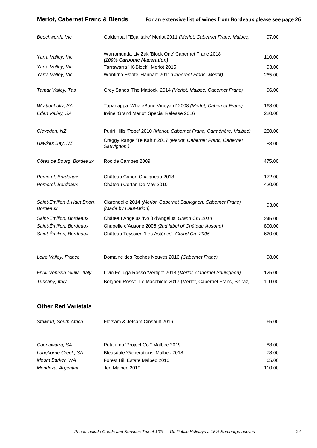**Merlot, Cabernet Franc & Blends For an extensive list of wines from Bordeaux please see page 26**

| Beechworth, Vic                                | Goldenball "Egalitaire' Merlot 2011 (Merlot, Cabernet Franc, Malbec)                  | 97.00  |
|------------------------------------------------|---------------------------------------------------------------------------------------|--------|
| Yarra Valley, Vic                              | Warramunda Liv Zak 'Block One' Cabernet Franc 2018<br>(100% Carbonic Maceration)      | 110.00 |
| Yarra Valley, Vic                              | Tarrawarra ' K-Block' Merlot 2015                                                     | 93.00  |
| Yarra Valley, Vic                              | Wantirna Estate 'Hannah' 2011 (Cabernet Franc, Merlot)                                | 265.00 |
| Tamar Valley, Tas                              | Grey Sands 'The Mattock' 2014 (Merlot, Malbec, Cabernet Franc)                        | 96.00  |
| Wrattonbully, SA                               | Tapanappa 'WhaleBone Vineyard' 2008 (Merlot, Cabernet Franc)                          | 168.00 |
| Eden Valley, SA                                | Irvine 'Grand Merlot' Special Release 2016                                            | 220.00 |
| Clevedon, NZ                                   | Puriri Hills 'Pope' 2010 (Merlot, Cabernet Franc, Carménère, Malbec)                  | 280.00 |
| Hawkes Bay, NZ                                 | Craggy Range 'Te Kahu' 2017 (Merlot, Cabernet Franc, Cabernet<br>Sauvignon,)          | 88.00  |
| Côtes de Bourg, Bordeaux                       | Roc de Cambes 2009                                                                    | 475.00 |
| Pomerol, Bordeaux                              | Château Canon Chaigneau 2018                                                          | 172.00 |
| Pomerol, Bordeaux                              | Château Certan De May 2010                                                            | 420.00 |
| Saint-Émilion & Haut Brion,<br><b>Bordeaux</b> | Clarendelle 2014 (Merlot, Cabernet Sauvignon, Cabernet Franc)<br>(Made by Haut-Brion) | 93.00  |
| Saint-Émilion, Bordeaux                        | Château Angelus 'No 3 d'Angelus' Grand Cru 2014                                       | 245.00 |
| Saint-Émilion, Bordeaux                        | Chapelle d'Ausone 2006 (2nd label of Château Ausone)                                  | 800.00 |
| Saint-Émilion, Bordeaux                        | Château Teyssier 'Les Astéries' Grand Cru 2005                                        | 620.00 |
| Loire Valley, France                           | Domaine des Roches Neuves 2016 (Cabernet Franc)                                       | 98.00  |
| Friuli-Venezia Giulia, Italy                   | Livio Felluga Rosso 'Vertigo' 2018 (Merlot, Cabernet Sauvignon)                       | 125.00 |
| Tuscany, Italy                                 | Bolgheri Rosso Le Macchiole 2017 (Merlot, Cabernet Franc, Shiraz)                     | 110.00 |
| <b>Other Red Varietals</b>                     |                                                                                       |        |
| Stalwart, South Africa                         | Flotsam & Jetsam Cinsault 2016                                                        | 65.00  |

| Coonawarra, SA      | Petaluma 'Project Co." Malbec 2019         | 88.00  |
|---------------------|--------------------------------------------|--------|
| Langhorne Creek, SA | <b>Bleasdale 'Generations' Malbec 2018</b> | 78.00  |
| Mount Barker, WA    | Forest Hill Estate Malbec 2016             | 65.00  |
| Mendoza, Argentina  | Jed Malbec 2019                            | 110.00 |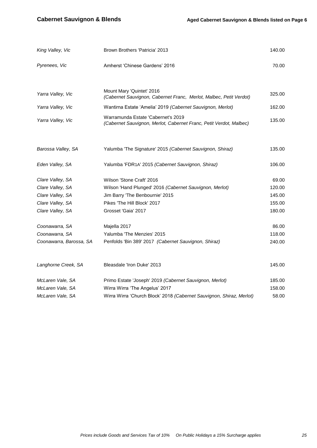| King Valley, Vic        | Brown Brothers 'Patricia' 2013                                                                           | 140.00 |
|-------------------------|----------------------------------------------------------------------------------------------------------|--------|
| Pyrenees, Vic           | Amherst 'Chinese Gardens' 2016                                                                           | 70.00  |
|                         |                                                                                                          |        |
| Yarra Valley, Vic       | Mount Mary 'Quintet' 2016<br>(Cabernet Sauvignon, Cabernet Franc, Merlot, Malbec, Petit Verdot)          | 325.00 |
| Yarra Valley, Vic       | Wantirna Estate 'Amelia' 2019 (Cabernet Sauvignon, Merlot)                                               | 162.00 |
| Yarra Valley, Vic       | Warramunda Estate 'Cabernet's 2019<br>(Cabernet Sauvignon, Merlot, Cabernet Franc, Petit Verdot, Malbec) | 135.00 |
|                         |                                                                                                          |        |
| Barossa Valley, SA      | Yalumba 'The Signature' 2015 (Cabernet Sauvignon, Shiraz)                                                | 135.00 |
| Eden Valley, SA         | Yalumba 'FDR1A' 2015 (Cabernet Sauvignon, Shiraz)                                                        | 106.00 |
| Clare Valley, SA        | Wilson 'Stone Craft' 2016                                                                                | 69.00  |
| Clare Valley, SA        | Wilson 'Hand Plunged' 2016 (Cabernet Sauvignon, Merlot)                                                  | 120.00 |
| Clare Valley, SA        | Jim Barry 'The Benbournie' 2015                                                                          | 145.00 |
| Clare Valley, SA        | Pikes 'The Hill Block' 2017                                                                              | 155.00 |
| Clare Valley, SA        | Grosset 'Gaia' 2017                                                                                      | 180.00 |
| Coonawarra, SA          | Majella 2017                                                                                             | 86.00  |
| Coonawarra, SA          | Yalumba 'The Menzies' 2015                                                                               | 118.00 |
| Coonawarra, Barossa, SA | Penfolds 'Bin 389' 2017 (Cabernet Sauvignon, Shiraz)                                                     | 240.00 |
| Langhorne Creek, SA     | Bleasdale 'Iron Duke' 2013                                                                               | 145.00 |
| McLaren Vale, SA        | Primo Estate 'Joseph' 2019 (Cabernet Sauvignon, Merlot)                                                  | 185.00 |
| McLaren Vale, SA        | Wirra Wirra 'The Angelus' 2017                                                                           | 158.00 |
| McLaren Vale, SA        | Wirra Wirra 'Church Block' 2018 (Cabernet Sauvignon, Shiraz, Merlot)                                     | 58.00  |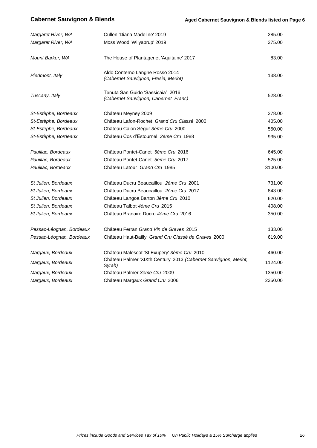| Margaret River, WA       | Cullen 'Diana Madeline' 2019                                               | 285.00  |
|--------------------------|----------------------------------------------------------------------------|---------|
| Margaret River, WA       | Moss Wood 'Wilyabrup' 2019                                                 | 275.00  |
|                          |                                                                            |         |
| Mount Barker, WA         | The House of Plantagenet 'Aquitaine' 2017                                  | 83.00   |
|                          |                                                                            |         |
| Piedmont, Italy          | Aldo Conterno Langhe Rosso 2014                                            | 138.00  |
|                          | (Cabernet Sauvignon, Fresia, Merlot)                                       |         |
|                          | Tenuta San Guido 'Sassicaia' 2016                                          |         |
| Tuscany, Italy           | (Cabernet Sauvignon, Cabernet Franc)                                       | 528.00  |
|                          |                                                                            |         |
| St-Estèphe, Bordeaux     | Château Meyney 2009                                                        | 278.00  |
| St-Estèphe, Bordeaux     | Château Lafon-Rochet Grand Cru Classé 2000                                 | 405.00  |
| St-Estèphe, Bordeaux     | Château Calon Ségur 3ème Cru 2000                                          | 550.00  |
| St-Estèphe, Bordeaux     | Château Cos d'Estournel 2ème Cru 1988                                      | 935.00  |
|                          |                                                                            |         |
| Pauillac, Bordeaux       | Château Pontet-Canet 5ème Cru 2016                                         | 645.00  |
| Pauillac, Bordeaux       | Château Pontet-Canet 5ème Cru 2017                                         | 525.00  |
| Pauillac, Bordeaux       | Château Latour Grand Cru 1985                                              | 3100.00 |
| St Julien, Bordeaux      | Château Ducru Beaucaillou 2ème Cru 2001                                    | 731.00  |
|                          | Château Ducru Beaucaillou 2ème Cru 2017                                    | 843.00  |
| St Julien, Bordeaux      |                                                                            |         |
| St Julien, Bordeaux      | Château Langoa Barton 3ème Cru 2010                                        | 620.00  |
| St Julien, Bordeaux      | Château Talbot 4ème Cru 2015                                               | 408.00  |
| St Julien, Bordeaux      | Château Branaire Ducru 4ème Cru 2016                                       | 350.00  |
| Pessac-Léognan, Bordeaux | Château Ferran Grand Vin de Graves 2015                                    | 133.00  |
| Pessac-Léognan, Bordeaux | Château Haut-Bailly Grand Cru Classé de Graves 2000                        | 619.00  |
|                          |                                                                            |         |
| Margaux, Bordeaux        | Château Malescot 'St Exupery' 3ème Cru 2010                                | 460.00  |
| Margaux, Bordeaux        | Château Palmer 'XIXth Century' 2013 (Cabernet Sauvignon, Merlot,<br>Syrah) | 1124.00 |
| Margaux, Bordeaux        | Château Palmer 3ème Cru 2009                                               | 1350.00 |
| Margaux, Bordeaux        | Château Margaux Grand Cru 2006                                             | 2350.00 |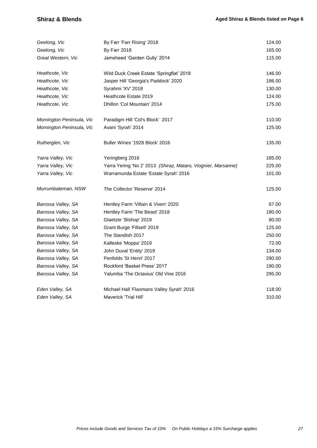### **Shiraz & Blends Aged Shiraz & Blends listed on Page 6 Aged Shiraz & Blends listed on Page 6**

| Geelong, Vic              | By Farr 'Farr Rising' 2018                                    | 124.00 |
|---------------------------|---------------------------------------------------------------|--------|
| Geelong, Vic              | <b>By Farr 2018</b>                                           | 165.00 |
| Great Western, Vic        | Jamsheed 'Garden Gully' 2014                                  | 115.00 |
| Heathcote, Vic            | Wild Duck Creek Estate 'Springflat' 2018                      | 146.00 |
| Heathcote, Vic            | Jasper Hill 'Georgia's Paddock' 2020                          | 186.00 |
| Heathcote, Vic            | Syrahmi 'XV' 2018                                             | 130.00 |
| Heathcote, Vic            | Heathcote Estate 2019                                         | 124.00 |
| Heathcote, Vic            | Dhillon 'Col Mountain' 2014                                   | 175.00 |
| Mornington Peninsula, Vic | Paradigm Hill 'Col's Block' 2017                              | 110.00 |
| Mornington Peninsula, Vic | Avani 'Syrah' 2014                                            | 125.00 |
| Rutherglen, Vic           | Buller Wines '1928 Block' 2016                                | 135.00 |
| Yarra Valley, Vic         | Yeringberg 2016                                               | 185.00 |
| Yarra Valley, Vic         | Yarra Yering 'No 2' 2013 (Shiraz, Mataro, Viognier, Marsanne) | 225.00 |
| Yarra Valley, Vic         | Warramunda Estate 'Estate Syrah' 2016                         | 101.00 |
| Murrumbateman, NSW        | The Collector 'Reserve' 2014                                  | 125.00 |
| Barossa Valley, SA        | Hentley Farm 'Villain & Vixen' 2020                           | 67.00  |
| Barossa Valley, SA        | Hentley Farm 'The Beast' 2018                                 | 180.00 |
| Barossa Valley, SA        | Glaetzer 'Bishop' 2019                                        | 80.00  |
| Barossa Valley, SA        | Grant Burge 'Fillsell' 2019                                   | 125.00 |
| Barossa Valley, SA        | The Standish 2017                                             | 250.00 |
| Barossa Valley, SA        | Kalleske 'Moppa' 2019                                         | 72.00  |
| Barossa Valley, SA        | John Duval 'Entity' 2019                                      | 134.00 |
| Barossa Valley, SA        | Penfolds 'St Henri' 2017                                      | 290.00 |
| Barossa Valley, SA        | Rockford 'Basket Press' 2017                                  | 190.00 |
| Barossa Valley, SA        | Yalumba 'The Octavius' Old Vine 2016                          | 295.00 |
| Eden Valley, SA           | Michael Hall 'Flaxmans Valley Syrah' 2016                     | 118.00 |
| Eden Valley, SA           | Maverick 'Trial Hill'                                         | 310.00 |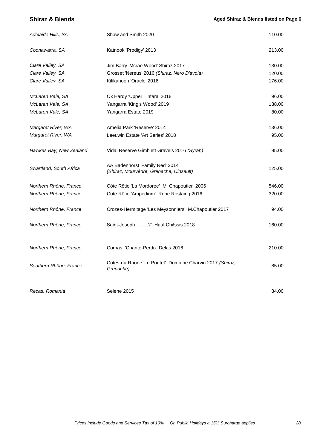| Coonawarra, SA<br>Katnook 'Prodigy' 2013<br>Clare Valley, SA<br>Jim Barry 'Mcrae Wood' Shiraz 2017<br>Clare Valley, SA<br>Grosset 'Nereus' 2016 (Shiraz, Nero D'avola)<br>Kilikanoon 'Oracle' 2016<br>Clare Valley, SA<br>McLaren Vale, SA<br>Ox Hardy 'Upper Tintara' 2018<br>McLaren Vale, SA<br>Yangarra 'King's Wood' 2019<br>McLaren Vale, SA<br>Yangarra Estate 2019<br>Margaret River, WA<br>Amelia Park 'Reserve' 2014<br>Margaret River, WA<br>Leeuwin Estate 'Art Series' 2018 |        |
|------------------------------------------------------------------------------------------------------------------------------------------------------------------------------------------------------------------------------------------------------------------------------------------------------------------------------------------------------------------------------------------------------------------------------------------------------------------------------------------|--------|
|                                                                                                                                                                                                                                                                                                                                                                                                                                                                                          | 213.00 |
|                                                                                                                                                                                                                                                                                                                                                                                                                                                                                          | 130.00 |
|                                                                                                                                                                                                                                                                                                                                                                                                                                                                                          | 120.00 |
|                                                                                                                                                                                                                                                                                                                                                                                                                                                                                          | 176.00 |
|                                                                                                                                                                                                                                                                                                                                                                                                                                                                                          | 96.00  |
|                                                                                                                                                                                                                                                                                                                                                                                                                                                                                          | 138.00 |
|                                                                                                                                                                                                                                                                                                                                                                                                                                                                                          | 80.00  |
|                                                                                                                                                                                                                                                                                                                                                                                                                                                                                          | 136.00 |
|                                                                                                                                                                                                                                                                                                                                                                                                                                                                                          | 95.00  |
| Hawkes Bay, New Zealand<br>Vidal Reserve Gimblett Gravels 2016 (Syrah)                                                                                                                                                                                                                                                                                                                                                                                                                   | 95.00  |
| AA Badenhorst 'Family Red' 2014<br>Swartland, South Africa<br>(Shiraz, Mourvédre, Grenache, Cinsault)                                                                                                                                                                                                                                                                                                                                                                                    | 125.00 |
| Northern Rhône, France<br>Côte Rôtie 'La Mordorée' M. Chapoutier 2006                                                                                                                                                                                                                                                                                                                                                                                                                    | 546.00 |
| Northern Rhône, France<br>Côte Rôtie 'Ampodium' Rene Rostaing 2016                                                                                                                                                                                                                                                                                                                                                                                                                       | 320.00 |
| Northern Rhône, France<br>Crozes-Hermitage 'Les Meysonniers' M.Chapoutier 2017                                                                                                                                                                                                                                                                                                                                                                                                           | 94.00  |
| Saint-Joseph '?' Haut Châssis 2018<br>Northern Rhône, France                                                                                                                                                                                                                                                                                                                                                                                                                             | 160.00 |
| Northern Rhône, France<br>Cornas 'Chante-Perdix' Delas 2016                                                                                                                                                                                                                                                                                                                                                                                                                              | 210.00 |
| Côtes-du-Rhône 'Le Poutet' Domaine Charvin 2017 (Shiraz,<br>Southern Rhône, France<br>Grenache)                                                                                                                                                                                                                                                                                                                                                                                          | 85.00  |
| Recas, Romania<br>Selene 2015                                                                                                                                                                                                                                                                                                                                                                                                                                                            |        |